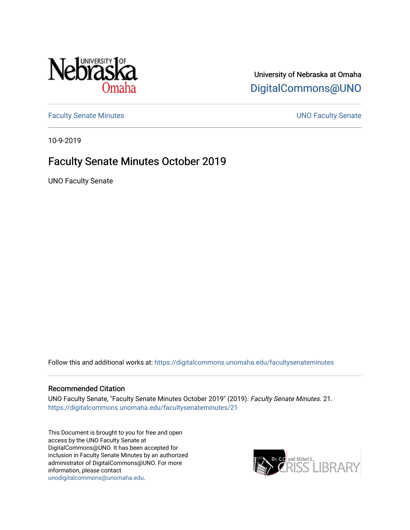

# University of Nebraska at Omaha [DigitalCommons@UNO](https://digitalcommons.unomaha.edu/)

[Faculty Senate Minutes](https://digitalcommons.unomaha.edu/facultysenateminutes) **Example 2018** UNO Faculty Senate

10-9-2019

# Faculty Senate Minutes October 2019

UNO Faculty Senate

Follow this and additional works at: [https://digitalcommons.unomaha.edu/facultysenateminutes](https://digitalcommons.unomaha.edu/facultysenateminutes?utm_source=digitalcommons.unomaha.edu%2Ffacultysenateminutes%2F21&utm_medium=PDF&utm_campaign=PDFCoverPages) 

#### Recommended Citation

UNO Faculty Senate, "Faculty Senate Minutes October 2019" (2019). Faculty Senate Minutes. 21. [https://digitalcommons.unomaha.edu/facultysenateminutes/21](https://digitalcommons.unomaha.edu/facultysenateminutes/21?utm_source=digitalcommons.unomaha.edu%2Ffacultysenateminutes%2F21&utm_medium=PDF&utm_campaign=PDFCoverPages) 

This Document is brought to you for free and open access by the UNO Faculty Senate at DigitalCommons@UNO. It has been accepted for inclusion in Faculty Senate Minutes by an authorized administrator of DigitalCommons@UNO. For more information, please contact [unodigitalcommons@unomaha.edu.](mailto:unodigitalcommons@unomaha.edu)

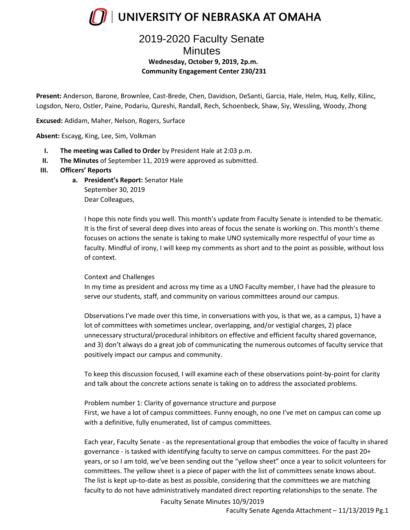

## 2019-2020 Faculty Senate **Minutes Wednesday, October 9, 2019, 2p.m. Community Engagement Center 230/231**

**Present:** Anderson, Barone, Brownlee, Cast-Brede, Chen, Davidson, DeSanti, Garcia, Hale, Helm, Huq, Kelly, Kilinc, Logsdon, Nero, Ostler, Paine, Podariu, Qureshi, Randall, Rech, Schoenbeck, Shaw, Siy, Wessling, Woody, Zhong

**Excused:** Adidam, Maher, Nelson, Rogers, Surface

**Absent:** Escayg, King, Lee, Sim, Volkman

- **I. The meeting was Called to Order** by President Hale at 2:03 p.m.
- **II. The Minutes** of September 11, 2019 were approved as submitted.

#### **III. Officers' Reports**

**a. President's Report:** Senator Hale September 30, 2019 Dear Colleagues,

> I hope this note finds you well. This month's update from Faculty Senate is intended to be thematic. It is the first of several deep dives into areas of focus the senate is working on. This month's theme focuses on actions the senate is taking to make UNO systemically more respectful of your time as faculty. Mindful of irony, I will keep my comments as short and to the point as possible, without loss of context.

#### Context and Challenges

In my time as president and across my time as a UNO Faculty member, I have had the pleasure to serve our students, staff, and community on various committees around our campus.

Observations I've made over this time, in conversations with you, is that we, as a campus, 1) have a lot of committees with sometimes unclear, overlapping, and/or vestigial charges, 2) place unnecessary structural/procedural inhibitors on effective and efficient faculty shared governance, and 3) don't always do a great job of communicating the numerous outcomes of faculty service that positively impact our campus and community.

To keep this discussion focused, I will examine each of these observations point-by-point for clarity and talk about the concrete actions senate is taking on to address the associated problems.

Problem number 1: Clarity of governance structure and purpose First, we have a lot of campus committees. Funny enough, no one I've met on campus can come up with a definitive, fully enumerated, list of campus committees.

Each year, Faculty Senate - as the representational group that embodies the voice of faculty in shared governance - is tasked with identifying faculty to serve on campus committees. For the past 20+ years, or so I am told, we've been sending out the "yellow sheet" once a year to solicit volunteers for committees. The yellow sheet is a piece of paper with the list of committees senate knows about. The list is kept up-to-date as best as possible, considering that the committees we are matching faculty to do not have administratively mandated direct reporting relationships to the senate. The

Faculty Senate Minutes 10/9/2019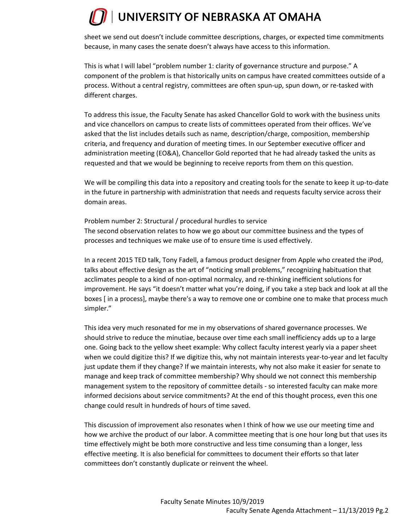sheet we send out doesn't include committee descriptions, charges, or expected time commitments because, in many cases the senate doesn't always have access to this information.

This is what I will label "problem number 1: clarity of governance structure and purpose." A component of the problem is that historically units on campus have created committees outside of a process. Without a central registry, committees are often spun-up, spun down, or re-tasked with different charges.

To address this issue, the Faculty Senate has asked Chancellor Gold to work with the business units and vice chancellors on campus to create lists of committees operated from their offices. We've asked that the list includes details such as name, description/charge, composition, membership criteria, and frequency and duration of meeting times. In our September executive officer and administration meeting (EO&A), Chancellor Gold reported that he had already tasked the units as requested and that we would be beginning to receive reports from them on this question.

We will be compiling this data into a repository and creating tools for the senate to keep it up-to-date in the future in partnership with administration that needs and requests faculty service across their domain areas.

Problem number 2: Structural / procedural hurdles to service The second observation relates to how we go about our committee business and the types of processes and techniques we make use of to ensure time is used effectively.

In a recent 2015 TED talk, Tony Fadell, a famous product designer from Apple who created the iPod, talks about effective design as the art of "noticing small problems," recognizing habituation that acclimates people to a kind of non-optimal normalcy, and re-thinking inefficient solutions for improvement. He says "it doesn't matter what you're doing, if you take a step back and look at all the boxes [ in a process], maybe there's a way to remove one or combine one to make that process much simpler."

This idea very much resonated for me in my observations of shared governance processes. We should strive to reduce the minutiae, because over time each small inefficiency adds up to a large one. Going back to the yellow sheet example: Why collect faculty interest yearly via a paper sheet when we could digitize this? If we digitize this, why not maintain interests year-to-year and let faculty just update them if they change? If we maintain interests, why not also make it easier for senate to manage and keep track of committee membership? Why should we not connect this membership management system to the repository of committee details - so interested faculty can make more informed decisions about service commitments? At the end of this thought process, even this one change could result in hundreds of hours of time saved.

This discussion of improvement also resonates when I think of how we use our meeting time and how we archive the product of our labor. A committee meeting that is one hour long but that uses its time effectively might be both more constructive and less time consuming than a longer, less effective meeting. It is also beneficial for committees to document their efforts so that later committees don't constantly duplicate or reinvent the wheel.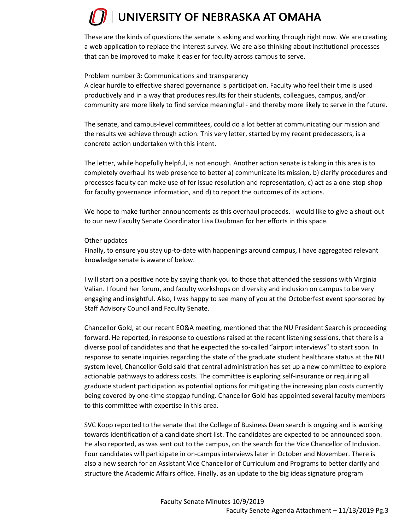These are the kinds of questions the senate is asking and working through right now. We are creating a web application to replace the interest survey. We are also thinking about institutional processes that can be improved to make it easier for faculty across campus to serve.

Problem number 3: Communications and transparency

A clear hurdle to effective shared governance is participation. Faculty who feel their time is used productively and in a way that produces results for their students, colleagues, campus, and/or community are more likely to find service meaningful - and thereby more likely to serve in the future.

The senate, and campus-level committees, could do a lot better at communicating our mission and the results we achieve through action. This very letter, started by my recent predecessors, is a concrete action undertaken with this intent.

The letter, while hopefully helpful, is not enough. Another action senate is taking in this area is to completely overhaul its web presence to better a) communicate its mission, b) clarify procedures and processes faculty can make use of for issue resolution and representation, c) act as a one-stop-shop for faculty governance information, and d) to report the outcomes of its actions.

We hope to make further announcements as this overhaul proceeds. I would like to give a shout-out to our new Faculty Senate Coordinator Lisa Daubman for her efforts in this space.

#### Other updates

Finally, to ensure you stay up-to-date with happenings around campus, I have aggregated relevant knowledge senate is aware of below.

I will start on a positive note by saying thank you to those that attended the sessions with Virginia Valian. I found her forum, and faculty workshops on diversity and inclusion on campus to be very engaging and insightful. Also, I was happy to see many of you at the Octoberfest event sponsored by Staff Advisory Council and Faculty Senate.

Chancellor Gold, at our recent EO&A meeting, mentioned that the NU President Search is proceeding forward. He reported, in response to questions raised at the recent listening sessions, that there is a diverse pool of candidates and that he expected the so-called "airport interviews" to start soon. In response to senate inquiries regarding the state of the graduate student healthcare status at the NU system level, Chancellor Gold said that central administration has set up a new committee to explore actionable pathways to address costs. The committee is exploring self-insurance or requiring all graduate student participation as potential options for mitigating the increasing plan costs currently being covered by one-time stopgap funding. Chancellor Gold has appointed several faculty members to this committee with expertise in this area.

SVC Kopp reported to the senate that the College of Business Dean search is ongoing and is working towards identification of a candidate short list. The candidates are expected to be announced soon. He also reported, as was sent out to the campus, on the search for the Vice Chancellor of Inclusion. Four candidates will participate in on-campus interviews later in October and November. There is also a new search for an Assistant Vice Chancellor of Curriculum and Programs to better clarify and structure the Academic Affairs office. Finally, as an update to the big ideas signature program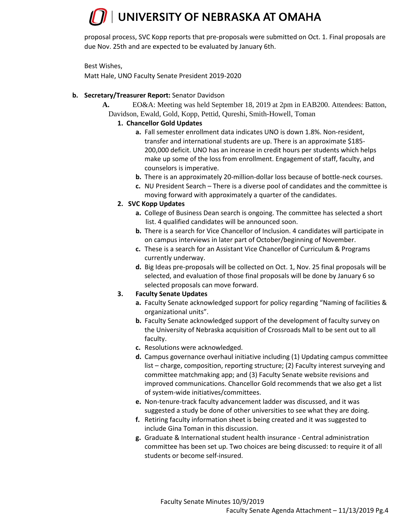proposal process, SVC Kopp reports that pre-proposals were submitted on Oct. 1. Final proposals are due Nov. 25th and are expected to be evaluated by January 6th.

Best Wishes,

Matt Hale, UNO Faculty Senate President 2019-2020

#### **b. Secretary/Treasurer Report:** Senator Davidson

**A.** EO&A: Meeting was held September 18, 2019 at 2pm in EAB200. Attendees: Batton, Davidson, Ewald, Gold, Kopp, Pettid, Qureshi, Smith-Howell, Toman

### **1. Chancellor Gold Updates**

- **a.** Fall semester enrollment data indicates UNO is down 1.8%. Non-resident, transfer and international students are up. There is an approximate \$185- 200,000 deficit. UNO has an increase in credit hours per students which helps make up some of the loss from enrollment. Engagement of staff, faculty, and counselors is imperative.
- **b.** There is an approximately 20-million-dollar loss because of bottle-neck courses.
- **c.** NU President Search There is a diverse pool of candidates and the committee is moving forward with approximately a quarter of the candidates.

### **2. SVC Kopp Updates**

- **a.** College of Business Dean search is ongoing. The committee has selected a short list. 4 qualified candidates will be announced soon.
- **b.** There is a search for Vice Chancellor of Inclusion. 4 candidates will participate in on campus interviews in later part of October/beginning of November.
- **c.** These is a search for an Assistant Vice Chancellor of Curriculum & Programs currently underway.
- **d.** Big Ideas pre-proposals will be collected on Oct. 1, Nov. 25 final proposals will be selected, and evaluation of those final proposals will be done by January 6 so selected proposals can move forward.

### **3. Faculty Senate Updates**

- **a.** Faculty Senate acknowledged support for policy regarding "Naming of facilities & organizational units".
- **b.** Faculty Senate acknowledged support of the development of faculty survey on the University of Nebraska acquisition of Crossroads Mall to be sent out to all faculty.
- **c.** Resolutions were acknowledged.
- **d.** Campus governance overhaul initiative including (1) Updating campus committee list – charge, composition, reporting structure; (2) Faculty interest surveying and committee matchmaking app; and (3) Faculty Senate website revisions and improved communications. Chancellor Gold recommends that we also get a list of system-wide initiatives/committees.
- **e.** Non-tenure-track faculty advancement ladder was discussed, and it was suggested a study be done of other universities to see what they are doing.
- **f.** Retiring faculty information sheet is being created and it was suggested to include Gina Toman in this discussion.
- **g.** Graduate & International student health insurance Central administration committee has been set up. Two choices are being discussed: to require it of all students or become self-insured.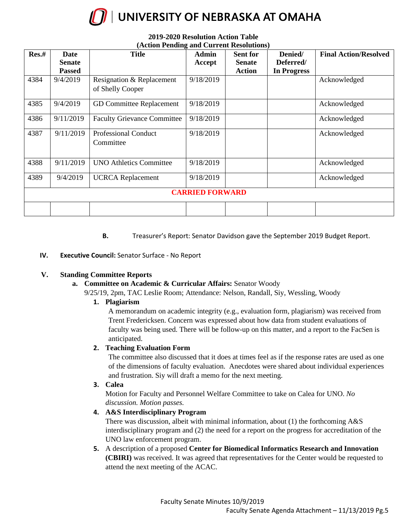

| Res.#                  | Date          | <b>Title</b>                                  | <b>Admin</b> | <b>Sent for</b> | Denied/            | <b>Final Action/Resolved</b> |
|------------------------|---------------|-----------------------------------------------|--------------|-----------------|--------------------|------------------------------|
|                        | <b>Senate</b> |                                               | Accept       | <b>Senate</b>   | Deferred/          |                              |
|                        | <b>Passed</b> |                                               |              | <b>Action</b>   | <b>In Progress</b> |                              |
| 4384                   | 9/4/2019      | Resignation & Replacement<br>of Shelly Cooper | 9/18/2019    |                 |                    | Acknowledged                 |
| 4385                   | 9/4/2019      | GD Committee Replacement                      | 9/18/2019    |                 |                    | Acknowledged                 |
| 4386                   | 9/11/2019     | <b>Faculty Grievance Committee</b>            | 9/18/2019    |                 |                    | Acknowledged                 |
| 4387                   | 9/11/2019     | <b>Professional Conduct</b><br>Committee      | 9/18/2019    |                 |                    | Acknowledged                 |
| 4388                   | 9/11/2019     | <b>UNO Athletics Committee</b>                | 9/18/2019    |                 |                    | Acknowledged                 |
| 4389                   | 9/4/2019      | <b>UCRCA</b> Replacement                      | 9/18/2019    |                 |                    | Acknowledged                 |
| <b>CARRIED FORWARD</b> |               |                                               |              |                 |                    |                              |
|                        |               |                                               |              |                 |                    |                              |

#### **2019-2020 Resolution Action Table (Action Pending and Current Resolutions)**

**B.** Treasurer's Report: Senator Davidson gave the September 2019 Budget Report.

### **IV. Executive Council:** Senator Surface - No Report

### **V. Standing Committee Reports**

**a. Committee on Academic & Curricular Affairs:** Senator Woody

9/25/19, 2pm, TAC Leslie Room; Attendance: Nelson, Randall, Siy, Wessling, Woody

### **1. Plagiarism**

A memorandum on academic integrity (e.g., evaluation form, plagiarism) was received from Trent Fredericksen. Concern was expressed about how data from student evaluations of faculty was being used. There will be follow-up on this matter, and a report to the FacSen is anticipated.

### **2. Teaching Evaluation Form**

The committee also discussed that it does at times feel as if the response rates are used as one of the dimensions of faculty evaluation. Anecdotes were shared about individual experiences and frustration. Siy will draft a memo for the next meeting.

### **3. Calea**

Motion for Faculty and Personnel Welfare Committee to take on Calea for UNO. *No discussion. Motion passes.* 

### **4. A&S Interdisciplinary Program**

There was discussion, albeit with minimal information, about (1) the forthcoming A&S interdisciplinary program and (2) the need for a report on the progress for accreditation of the UNO law enforcement program.

**5.** A description of a proposed **Center for Biomedical Informatics Research and Innovation (CBIRI)** was received. It was agreed that representatives for the Center would be requested to attend the next meeting of the ACAC.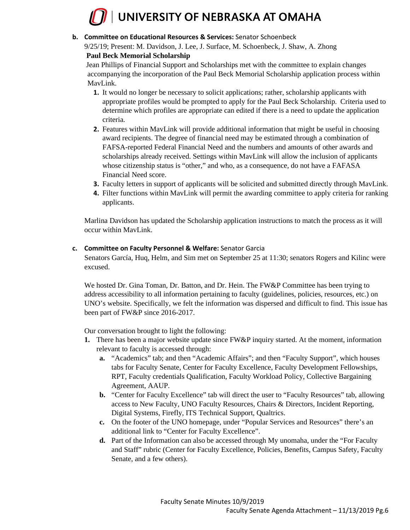

#### **b. Committee on Educational Resources & Services:** Senator Schoenbeck

9/25/19; Present: M. Davidson, J. Lee, J. Surface, M. Schoenbeck, J. Shaw, A. Zhong

## **Paul Beck Memorial Scholarship**

Jean Phillips of Financial Support and Scholarships met with the committee to explain changes accompanying the incorporation of the Paul Beck Memorial Scholarship application process within MavLink.

- **1.** It would no longer be necessary to solicit applications; rather, scholarship applicants with appropriate profiles would be prompted to apply for the Paul Beck Scholarship. Criteria used to determine which profiles are appropriate can edited if there is a need to update the application criteria.
- **2.** Features within MavLink will provide additional information that might be useful in choosing award recipients. The degree of financial need may be estimated through a combination of FAFSA-reported Federal Financial Need and the numbers and amounts of other awards and scholarships already received. Settings within MavLink will allow the inclusion of applicants whose citizenship status is "other," and who, as a consequence, do not have a FAFASA Financial Need score.
- **3.** Faculty letters in support of applicants will be solicited and submitted directly through MavLink.
- **4.** Filter functions within MavLink will permit the awarding committee to apply criteria for ranking applicants.

Marlina Davidson has updated the Scholarship application instructions to match the process as it will occur within MavLink.

### **c. Committee on Faculty Personnel & Welfare:** Senator Garcia

Senators García, Huq, Helm, and Sim met on September 25 at 11:30; senators Rogers and Kilinc were excused.

We hosted Dr. Gina Toman, Dr. Batton, and Dr. Hein. The FW&P Committee has been trying to address accessibility to all information pertaining to faculty (guidelines, policies, resources, etc.) on UNO's website. Specifically, we felt the information was dispersed and difficult to find. This issue has been part of FW&P since 2016-2017.

Our conversation brought to light the following:

- **1.** There has been a major website update since FW&P inquiry started. At the moment, information relevant to faculty is accessed through:
	- **a.** "Academics" tab; and then "Academic Affairs"; and then "Faculty Support", which houses tabs for Faculty Senate, Center for Faculty Excellence, Faculty Development Fellowships, RPT, Faculty credentials Qualification, Faculty Workload Policy, Collective Bargaining Agreement, AAUP.
	- **b.** "Center for Faculty Excellence" tab will direct the user to "Faculty Resources" tab, allowing access to New Faculty, UNO Faculty Resources, Chairs & Directors, Incident Reporting, Digital Systems, Firefly, ITS Technical Support, Qualtrics.
	- **c.** On the footer of the UNO homepage, under "Popular Services and Resources" there's an additional link to "Center for Faculty Excellence".
	- **d.** Part of the Information can also be accessed through My unomaha, under the "For Faculty and Staff" rubric (Center for Faculty Excellence, Policies, Benefits, Campus Safety, Faculty Senate, and a few others).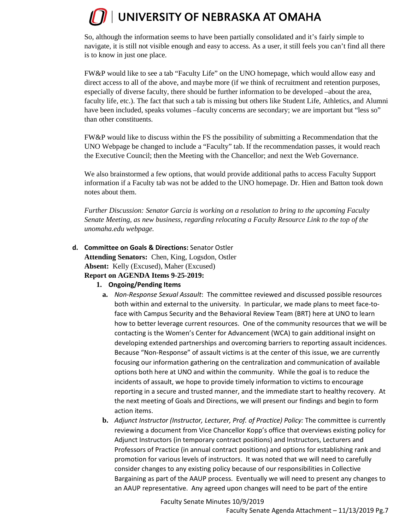So, although the information seems to have been partially consolidated and it's fairly simple to navigate, it is still not visible enough and easy to access. As a user, it still feels you can't find all there is to know in just one place.

FW&P would like to see a tab "Faculty Life" on the UNO homepage, which would allow easy and direct access to all of the above, and maybe more (if we think of recruitment and retention purposes, especially of diverse faculty, there should be further information to be developed –about the area, faculty life, etc.). The fact that such a tab is missing but others like Student Life, Athletics, and Alumni have been included, speaks volumes –faculty concerns are secondary; we are important but "less so" than other constituents.

FW&P would like to discuss within the FS the possibility of submitting a Recommendation that the UNO Webpage be changed to include a "Faculty" tab. If the recommendation passes, it would reach the Executive Council; then the Meeting with the Chancellor; and next the Web Governance.

We also brainstormed a few options, that would provide additional paths to access Faculty Support information if a Faculty tab was not be added to the UNO homepage. Dr. Hien and Batton took down notes about them.

*Further Discussion: Senator Garcia is working on a resolution to bring to the upcoming Faculty Senate Meeting, as new business, regarding relocating a Faculty Resource Link to the top of the unomaha.edu webpage.*

### **d. Committee on Goals & Directions:** Senator Ostler **Attending Senators:** Chen, King, Logsdon, Ostler **Absent:** Kelly (Excused), Maher (Excused) **Report on AGENDA Items 9-25-2019:**

### **1. Ongoing/Pending Items**

- **a.** *Non-Response Sexual Assault*: The committee reviewed and discussed possible resources both within and external to the university. In particular, we made plans to meet face-toface with Campus Security and the Behavioral Review Team (BRT) here at UNO to learn how to better leverage current resources. One of the community resources that we will be contacting is the Women's Center for Advancement (WCA) to gain additional insight on developing extended partnerships and overcoming barriers to reporting assault incidences. Because "Non-Response" of assault victims is at the center of this issue, we are currently focusing our information gathering on the centralization and communication of available options both here at UNO and within the community. While the goal is to reduce the incidents of assault, we hope to provide timely information to victims to encourage reporting in a secure and trusted manner, and the immediate start to healthy recovery. At the next meeting of Goals and Directions, we will present our findings and begin to form action items.
- **b.** *Adjunct Instructor (Instructor, Lecturer, Prof. of Practice) Policy:* The committee is currently reviewing a document from Vice Chancellor Kopp's office that overviews existing policy for Adjunct Instructors (in temporary contract positions) and Instructors, Lecturers and Professors of Practice (in annual contract positions) and options for establishing rank and promotion for various levels of instructors. It was noted that we will need to carefully consider changes to any existing policy because of our responsibilities in Collective Bargaining as part of the AAUP process. Eventually we will need to present any changes to an AAUP representative. Any agreed upon changes will need to be part of the entire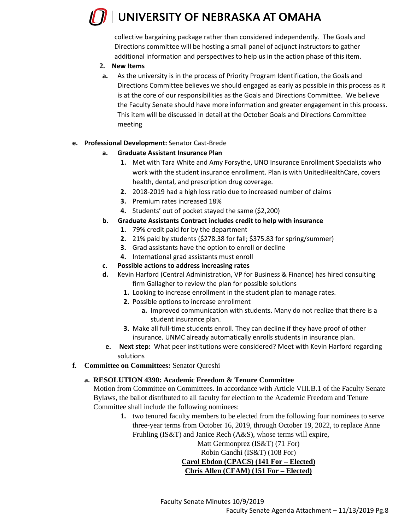collective bargaining package rather than considered independently. The Goals and Directions committee will be hosting a small panel of adjunct instructors to gather additional information and perspectives to help us in the action phase of this item.

#### **2. New Items**

**a.** As the university is in the process of Priority Program Identification, the Goals and Directions Committee believes we should engaged as early as possible in this process as it is at the core of our responsibilities as the Goals and Directions Committee. We believe the Faculty Senate should have more information and greater engagement in this process. This item will be discussed in detail at the October Goals and Directions Committee meeting

#### **e. Professional Development:** Senator Cast-Brede

- **a. Graduate Assistant Insurance Plan** 
	- **1.** Met with Tara White and Amy Forsythe, UNO Insurance Enrollment Specialists who work with the student insurance enrollment. Plan is with UnitedHealthCare, covers health, dental, and prescription drug coverage.
	- **2.** 2018-2019 had a high loss ratio due to increased number of claims
	- **3.** Premium rates increased 18%
	- **4.** Students' out of pocket stayed the same (\$2,200)
- **b. Graduate Assistants Contract includes credit to help with insurance**
	- **1.** 79% credit paid for by the department
	- **2.** 21% paid by students (\$278.38 for fall; \$375.83 for spring/summer)
	- **3.** Grad assistants have the option to enroll or decline
	- **4.** International grad assistants must enroll

### **c. Possible actions to address increasing rates**

- **d.** Kevin Harford (Central Administration, VP for Business & Finance) has hired consulting firm Gallagher to review the plan for possible solutions
	- **1.** Looking to increase enrollment in the student plan to manage rates.
	- **2.** Possible options to increase enrollment
		- **a.** Improved communication with students. Many do not realize that there is a student insurance plan.
	- **3.** Make all full-time students enroll. They can decline if they have proof of other insurance. UNMC already automatically enrolls students in insurance plan.
- **e. Next step:** What peer institutions were considered? Meet with Kevin Harford regarding solutions
- **f. Committee on Committees:** Senator Qureshi

### **a. RESOLUTION 4390: Academic Freedom & Tenure Committee**

Motion from Committee on Committees. In accordance with Article VIII.B.1 of the Faculty Senate Bylaws, the ballot distributed to all faculty for election to the Academic Freedom and Tenure Committee shall include the following nominees:

**1.** two tenured faculty members to be elected from the following four nominees to serve three-year terms from October 16, 2019, through October 19, 2022, to replace Anne Fruhling (IS&T) and Janice Rech (A&S), whose terms will expire,

> Matt Germonprez (IS&T) (71 For) Robin Gandhi (IS&T) (108 For) **Carol Ebdon (CPACS) (141 For – Elected) Chris Allen (CFAM) (151 For – Elected)**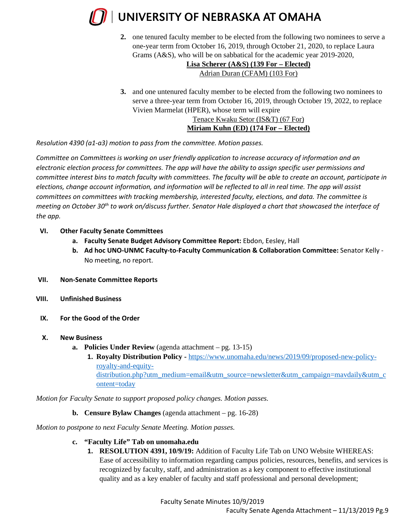

**2.** one tenured faculty member to be elected from the following two nominees to serve a one-year term from October 16, 2019, through October 21, 2020, to replace Laura Grams (A&S), who will be on sabbatical for the academic year 2019-2020,

#### **Lisa Scherer (A&S) (139 For – Elected)** Adrian Duran (CFAM) (103 For)

**3.** and one untenured faculty member to be elected from the following two nominees to serve a three-year term from October 16, 2019, through October 19, 2022, to replace Vivien Marmelat (HPER), whose term will expire Tenace Kwaku Setor (IS&T) (67 For) **Miriam Kuhn (ED) (174 For – Elected)**

*Resolution 4390 (a1-a3) motion to pass from the committee. Motion passes.* 

*Committee on Committees is working on user friendly application to increase accuracy of information and an electronic election process for committees. The app will have the ability to assign specific user permissions and committee interest bins to match faculty with committees. The faculty will be able to create an account, participate in elections, change account information, and information will be reflected to all in real time. The app will assist committees on committees with tracking membership, interested faculty, elections, and data. The committee is meeting on October 30th to work on/discuss further. Senator Hale displayed a chart that showcased the interface of the app.* 

- **VI. Other Faculty Senate Committees**
	- **a. Faculty Senate Budget Advisory Committee Report:** Ebdon, Eesley, Hall
	- **b. Ad hoc UNO-UNMC Faculty-to-Faculty Communication & Collaboration Committee:** Senator Kelly No meeting, no report.
- **VII. Non-Senate Committee Reports**
- **VIII. Unfinished Business**
- **IX. For the Good of the Order**
- **X. New Business** 
	- **a. Policies Under Review** (agenda attachment pg. 13-15)
		- **1. Royalty Distribution Policy -** [https://www.unomaha.edu/news/2019/09/proposed-new-policy](https://www.unomaha.edu/news/2019/09/proposed-new-policy-royalty-and-equity-distribution.php?utm_medium=email&utm_source=newsletter&utm_campaign=mavdaily&utm_content=today)[royalty-and-equity](https://www.unomaha.edu/news/2019/09/proposed-new-policy-royalty-and-equity-distribution.php?utm_medium=email&utm_source=newsletter&utm_campaign=mavdaily&utm_content=today)[distribution.php?utm\\_medium=email&utm\\_source=newsletter&utm\\_campaign=mavdaily&utm\\_c](https://www.unomaha.edu/news/2019/09/proposed-new-policy-royalty-and-equity-distribution.php?utm_medium=email&utm_source=newsletter&utm_campaign=mavdaily&utm_content=today) [ontent=today](https://www.unomaha.edu/news/2019/09/proposed-new-policy-royalty-and-equity-distribution.php?utm_medium=email&utm_source=newsletter&utm_campaign=mavdaily&utm_content=today)

*Motion for Faculty Senate to support proposed policy changes. Motion passes.* 

### **b. Censure Bylaw Changes** (agenda attachment – pg. 16-28)

*Motion to postpone to next Faculty Senate Meeting. Motion passes.* 

- **c. "Faculty Life" Tab on unomaha.edu** 
	- **1. RESOLUTION 4391, 10/9/19:** Addition of Faculty Life Tab on UNO Website WHEREAS: Ease of accessibility to information regarding campus policies, resources, benefits, and services is recognized by faculty, staff, and administration as a key component to effective institutional quality and as a key enabler of faculty and staff professional and personal development;

Faculty Senate Minutes 10/9/2019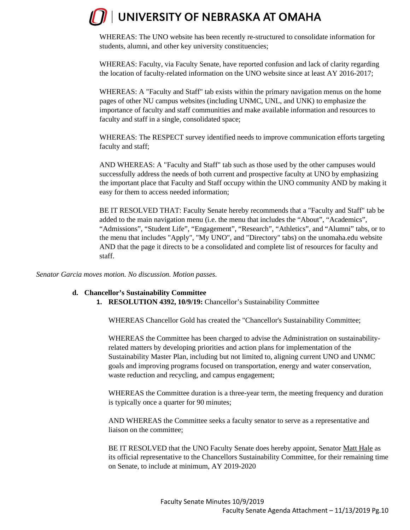WHEREAS: The UNO website has been recently re-structured to consolidate information for students, alumni, and other key university constituencies;

WHEREAS: Faculty, via Faculty Senate, have reported confusion and lack of clarity regarding the location of faculty-related information on the UNO website since at least AY 2016-2017;

WHEREAS: A "Faculty and Staff" tab exists within the primary navigation menus on the home pages of other NU campus websites (including UNMC, UNL, and UNK) to emphasize the importance of faculty and staff communities and make available information and resources to faculty and staff in a single, consolidated space;

WHEREAS: The RESPECT survey identified needs to improve communication efforts targeting faculty and staff;

AND WHEREAS: A "Faculty and Staff" tab such as those used by the other campuses would successfully address the needs of both current and prospective faculty at UNO by emphasizing the important place that Faculty and Staff occupy within the UNO community AND by making it easy for them to access needed information;

BE IT RESOLVED THAT: Faculty Senate hereby recommends that a "Faculty and Staff" tab be added to the main navigation menu (i.e. the menu that includes the "About", "Academics", "Admissions", "Student Life", "Engagement", "Research", "Athletics", and "Alumni" tabs, or to the menu that includes "Apply", "My UNO", and "Directory" tabs) on the unomaha.edu website AND that the page it directs to be a consolidated and complete list of resources for faculty and staff.

*Senator Garcia moves motion. No discussion. Motion passes.* 

#### **d. Chancellor's Sustainability Committee**

**1. RESOLUTION 4392, 10/9/19:** Chancellor's Sustainability Committee

WHEREAS Chancellor Gold has created the "Chancellor's Sustainability Committee;

WHEREAS the Committee has been charged to advise the Administration on sustainabilityrelated matters by developing priorities and action plans for implementation of the Sustainability Master Plan, including but not limited to, aligning current UNO and UNMC goals and improving programs focused on transportation, energy and water conservation, waste reduction and recycling, and campus engagement;

WHEREAS the Committee duration is a three-year term, the meeting frequency and duration is typically once a quarter for 90 minutes;

AND WHEREAS the Committee seeks a faculty senator to serve as a representative and liaison on the committee;

BE IT RESOLVED that the UNO Faculty Senate does hereby appoint, Senator Matt Hale as its official representative to the Chancellors Sustainability Committee, for their remaining time on Senate, to include at minimum, AY 2019-2020